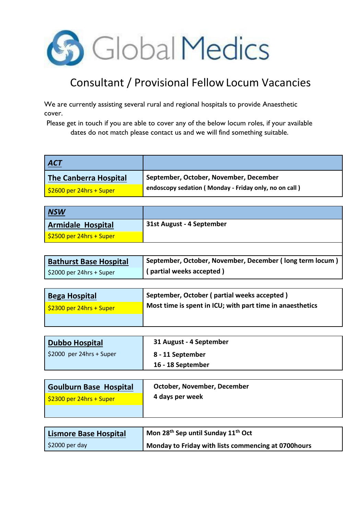

## Consultant / Provisional Fellow Locum Vacancies

We are currently assisting several rural and regional hospitals to provide Anaesthetic cover.

Please get in touch if you are able to cover any of the below locum roles, if your available dates do not match please contact us and we will find something suitable.

| <u>ACT</u>                             |                                                       |
|----------------------------------------|-------------------------------------------------------|
| The Canberra Hospital                  | September, October, November, December                |
| $\frac{1}{2}$ \$2600 per 24hrs + Super | endoscopy sedation (Monday - Friday only, no on call) |

| <b>NSW</b>                             |                           |
|----------------------------------------|---------------------------|
| <b>Armidale Hospital</b>               | 31st August - 4 September |
| $\frac{1}{2}$ \$2500 per 24hrs + Super |                           |

| <b>Bathurst Base Hospital</b> | September, October, November, December (long term locum) |
|-------------------------------|----------------------------------------------------------|
| \$2000 per 24hrs + Super      | (partial weeks accepted)                                 |

| <b>Bega Hospital</b>     | September, October (partial weeks accepted)               |
|--------------------------|-----------------------------------------------------------|
| \$2300 per 24hrs + Super | Most time is spent in ICU; with part time in anaesthetics |
|                          |                                                           |

| Dubbo Hospital                         | 31 August - 4 September |
|----------------------------------------|-------------------------|
| $\frac{1}{2}$ \$2000 per 24hrs + Super | 8 - 11 September        |
|                                        | 16 - 18 September       |

| Goulburn Base Hospital                 | October, November, December |
|----------------------------------------|-----------------------------|
| $\frac{1}{2}$ \$2300 per 24hrs + Super | 4 days per week             |
|                                        |                             |

| Lismore Base Hospital        | <sup>1</sup> Mon 28 <sup>th</sup> Sep until Sunday 11 <sup>th</sup> Oct |  |
|------------------------------|-------------------------------------------------------------------------|--|
| $\frac{1}{2}$ \$2000 per day | <b>Monday to Friday with lists commencing at 0700hours</b>              |  |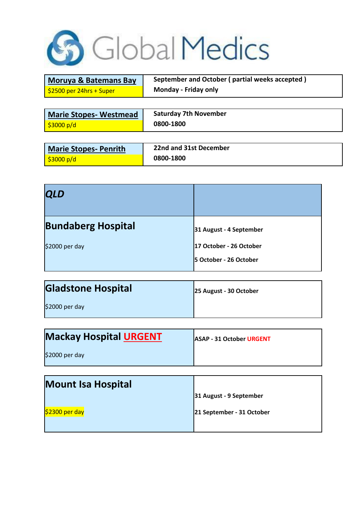

| <b>Moruya &amp; Batemans Bay</b> |
|----------------------------------|
| \$2500 per 24hrs + Super         |

**September and October ( partial weeks accepted ) Monday - Friday only** 

| <b>Marie Stopes- Westmead</b> | <b>Saturday 7th November</b> |
|-------------------------------|------------------------------|
| <u>  \$3000 p/d</u>           | 0800-1800                    |

| Marie Stopes- Penrith                                     | 22nd and 31st December |
|-----------------------------------------------------------|------------------------|
| $\frac{\sqrt{3000 \text{ p/d}}}{\sqrt{2000 \text{ p/d}}}$ | 0800-1800              |

| <b>QLD</b>                |                                                   |
|---------------------------|---------------------------------------------------|
| <b>Bundaberg Hospital</b> | 31 August - 4 September                           |
| \$2000 per day            | 17 October - 26 October<br>5 October - 26 October |
|                           |                                                   |

| <b>Gladstone Hospital</b> | 25 August - 30 October |
|---------------------------|------------------------|
| \$2000 per day            |                        |

| $\mathbf{h}\mathbf{h}$        |                                 |
|-------------------------------|---------------------------------|
|                               |                                 |
| \$2000 per day                |                                 |
| <b>Mackay Hospital URGENT</b> | <b>ASAP - 31 October URGENT</b> |

| <b>Mount Isa Hospital</b> |                           |
|---------------------------|---------------------------|
|                           | 31 August - 9 September   |
| $$2300$ per day           | 21 September - 31 October |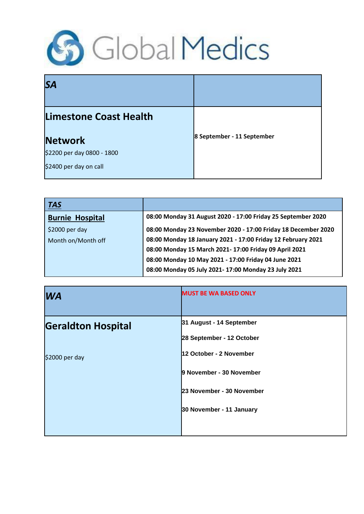

| <b>SA</b>                  |                            |
|----------------------------|----------------------------|
| Limestone Coast Health     |                            |
| <b>Network</b>             | 8 September - 11 September |
| \$2200 per day 0800 - 1800 |                            |
| \$2400 per day on call     |                            |

| <u>  TAS</u>           |                                                               |
|------------------------|---------------------------------------------------------------|
| <b>Burnie Hospital</b> | 08:00 Monday 31 August 2020 - 17:00 Friday 25 September 2020  |
| $$2000$ per day        | 08:00 Monday 23 November 2020 - 17:00 Friday 18 December 2020 |
| Month on/Month off     | 08:00 Monday 18 January 2021 - 17:00 Friday 12 February 2021  |
|                        | 08:00 Monday 15 March 2021- 17:00 Friday 09 April 2021        |
|                        | 08:00 Monday 10 May 2021 - 17:00 Friday 04 June 2021          |
|                        | 08:00 Monday 05 July 2021-17:00 Monday 23 July 2021           |

| <b>WA</b>                 | <b>MUST BE WA BASED ONLY</b> |
|---------------------------|------------------------------|
| <b>Geraldton Hospital</b> | 31 August - 14 September     |
|                           | 28 September - 12 October    |
| \$2000 per day            | 12 October - 2 November      |
|                           | 9 November - 30 November     |
|                           | 23 November - 30 November    |
|                           | 30 November - 11 January     |
|                           |                              |